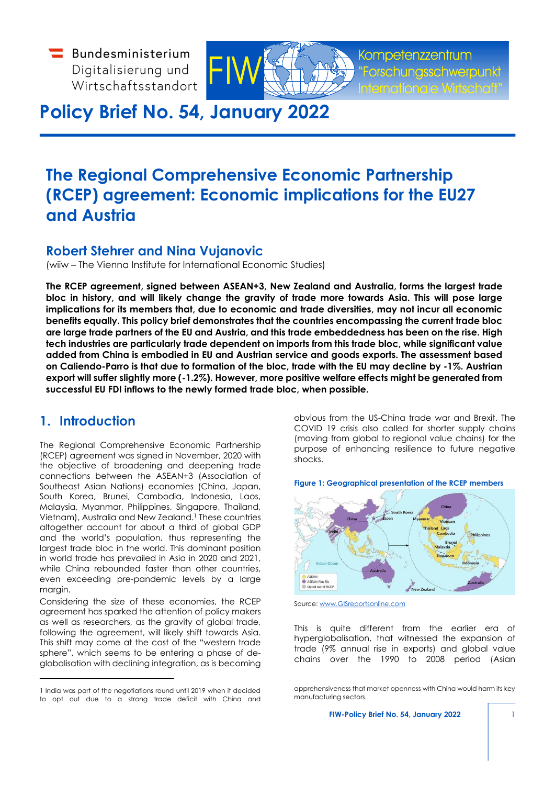$\blacksquare$  Bundesministerium Digitalisierung und Wirtschaftsstandort



Kompetenzzentrum

# **Policy Brief No. 54, January 2022**

# **The Regional Comprehensive Economic Partnership (RCEP) agreement: Economic implications for the EU27 and Austria**

## **Robert Stehrer and Nina Vujanovic**

(wiiw – The Vienna Institute for International Economic Studies)

**The RCEP agreement, signed between ASEAN+3, New Zealand and Australia, forms the largest trade bloc in history, and will likely change the gravity of trade more towards Asia. This will pose large implications for its members that, due to economic and trade diversities, may not incur all economic benefits equally. This policy brief demonstrates that the countries encompassing the current trade bloc are large trade partners of the EU and Austria, and this trade embeddedness has been on the rise. High tech industries are particularly trade dependent on imports from this trade bloc, while significant value added from China is embodied in EU and Austrian service and goods exports. The assessment based on Caliendo-Parro is that due to formation of the bloc, trade with the EU may decline by -1%. Austrian export will suffer slightly more (-1.2%). However, more positive welfare effects might be generated from successful EU FDI inflows to the newly formed trade bloc, when possible.**

## **1. Introduction**

The Regional Comprehensive Economic Partnership (RCEP) agreement was signed in November, 2020 with the objective of broadening and deepening trade connections between the ASEAN+3 (Association of Southeast Asian Nations) economies (China, Japan, South Korea, Brunei, Cambodia, Indonesia, Laos, Malaysia, Myanmar, Philippines, Singapore, Thailand, Vietnam), Australia and New Zealand.<sup>[1](#page-0-0)</sup> These countries altogether account for about a third of global GDP and the world's population, thus representing the largest trade bloc in the world. This dominant position in world trade has prevailed in Asia in 2020 and 2021, while China rebounded faster than other countries, even exceeding pre-pandemic levels by a large margin.

Considering the size of these economies, the RCEP agreement has sparked the attention of policy makers as well as researchers, as the gravity of global trade, following the agreement, will likely shift towards Asia. This shift may come at the cost of the "western trade sphere", which seems to be entering a phase of deglobalisation with declining integration, as is becoming

<span id="page-0-0"></span>[1](#page-0-1) India was part of the negotiations round until 2019 when it decided to opt out due to a strong trade deficit with China and obvious from the US-China trade war and Brexit. The COVID 19 crisis also called for shorter supply chains (moving from global to regional value chains) for the purpose of enhancing resilience to future negative shocks.

**Figure 1: Geographical presentation of the RCEP members**

<span id="page-0-1"></span>

Source: [www.GISreportsonline.com](http://www.gisreportsonline.com/)

This is quite different from the earlier era of hyperglobalisation, that witnessed the expansion of trade (9% annual rise in exports) and global value chains over the 1990 to 2008 period (Asian

apprehensiveness that market openness with China would harm its key manufacturing sectors.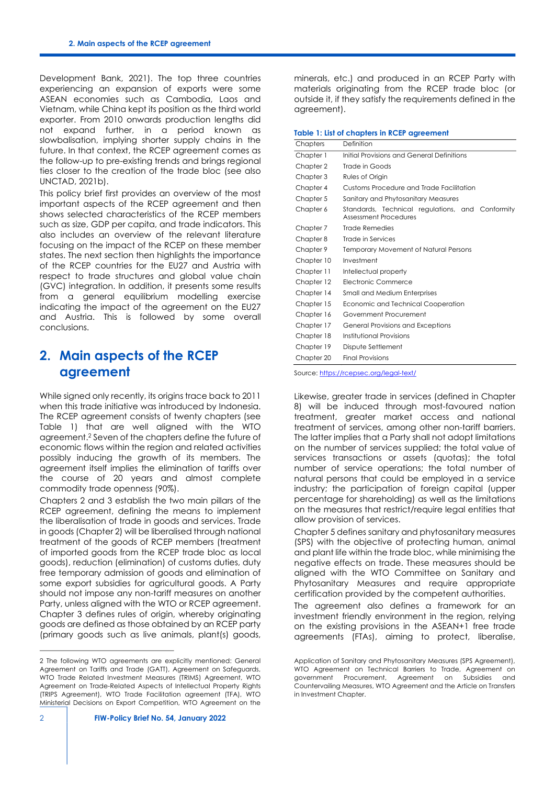Development Bank, 2021). The top three countries experiencing an expansion of exports were some ASEAN economies such as Cambodia, Laos and Vietnam, while China kept its position as the third world exporter. From 2010 onwards production lengths did not expand further, in a period known as slowbalisation, implying shorter supply chains in the future. In that context, the RCEP agreement comes as the follow-up to pre-existing trends and brings regional ties closer to the creation of the trade bloc (see also UNCTAD, 2021b).

This policy brief first provides an overview of the most important aspects of the RCEP agreement and then shows selected characteristics of the RCEP members such as size, GDP per capita, and trade indicators. This also includes an overview of the relevant literature focusing on the impact of the RCEP on these member states. The next section then highlights the importance of the RCEP countries for the EU27 and Austria with respect to trade structures and global value chain (GVC) integration. In addition, it presents some results from a general equilibrium modelling exercise indicating the impact of the agreement on the EU27 and Austria. This is followed by some overall conclusions.

## **2. Main aspects of the RCEP agreement**

<span id="page-1-1"></span>While signed only recently, its origins trace back to 2011 when this trade initiative was introduced by Indonesia. The RCEP agreement consists of twenty chapters (see Table 1) that are well aligned with the WTO agreement.[2](#page-1-0) Seven of the chapters define the future of economic flows within the region and related activities possibly inducing the growth of its members. The agreement itself implies the elimination of tariffs over the course of 20 years and almost complete commodity trade openness (90%).

Chapters 2 and 3 establish the two main pillars of the RCEP agreement, defining the means to implement the liberalisation of trade in goods and services. Trade in goods (Chapter 2) will be liberalised through national treatment of the goods of RCEP members (treatment of imported goods from the RCEP trade bloc as local goods), reduction (elimination) of customs duties, duty free temporary admission of goods and elimination of some export subsidies for agricultural goods. A Party should not impose any non-tariff measures on another Party, unless aligned with the WTO or RCEP agreement. Chapter 3 defines rules of origin, whereby originating goods are defined as those obtained by an RCEP party (primary goods such as live animals, plant(s) goods, minerals, etc.) and produced in an RCEP Party with materials originating from the RCEP trade bloc (or outside it, if they satisfy the requirements defined in the agreement).

|  |  |  | Table 1: List of chapters in RCEP agreement |
|--|--|--|---------------------------------------------|
|  |  |  |                                             |

| Chapters   | Definition                                                                |
|------------|---------------------------------------------------------------------------|
| Chapter 1  | Initial Provisions and General Definitions                                |
| Chapter 2  | Trade in Goods                                                            |
| Chapter 3  | Rules of Origin                                                           |
| Chapter 4  | Customs Procedure and Trade Facilitation                                  |
| Chapter 5  | Sanitary and Phytosanitary Measures                                       |
| Chapter 6  | Standards, Technical regulations, and Conformity<br>Assessment Procedures |
| Chapter 7  | Trade Remedies                                                            |
| Chapter 8  | Trade in Services                                                         |
| Chapter 9  | Temporary Movement of Natural Persons                                     |
| Chapter 10 | Investment                                                                |
| Chapter 11 | Intellectual property                                                     |
| Chapter 12 | Electronic Commerce                                                       |
| Chapter 14 | <b>Small and Medium Enterprises</b>                                       |
| Chapter 15 | Economic and Technical Cooperation                                        |
| Chapter 16 | Government Procurement                                                    |
| Chapter 17 | General Provisions and Exceptions                                         |
| Chapter 18 | Institutional Provisions                                                  |
| Chapter 19 | Dispute Settlement                                                        |
| Chapter 20 | <b>Final Provisions</b>                                                   |

Source:<https://rcepsec.org/legal-text/>

Likewise, greater trade in services (defined in Chapter 8) will be induced through most-favoured nation treatment, greater market access and national treatment of services, among other non-tariff barriers. The latter implies that a Party shall not adopt limitations on the number of services supplied; the total value of services transactions or assets (quotas); the total number of service operations; the total number of natural persons that could be employed in a service industry; the participation of foreign capital (upper percentage for shareholding) as well as the limitations on the measures that restrict/require legal entities that allow provision of services.

Chapter 5 defines sanitary and phytosanitary measures (SPS) with the objective of protecting human, animal and plant life within the trade bloc, while minimising the negative effects on trade. These measures should be aligned with the WTO Committee on Sanitary and Phytosanitary Measures and require appropriate certification provided by the competent authorities.

The agreement also defines a framework for an investment friendly environment in the region, relying on the existing provisions in the ASEAN+1 free trade agreements (FTAs), aiming to protect, liberalise,

<span id="page-1-0"></span>[<sup>2</sup>](#page-1-1) The following WTO agreements are explicitly mentioned: General Agreement on Tariffs and Trade (GATT), Agreement on Safeguards, WTO Trade Related Investment Measures (TRIMS) Agreement, WTO Agreement on Trade-Related Aspects of Intellectual Property Rights (TRIPS Agreement), WTO Trade Facilitation agreement (TFA), WTO Ministerial Decisions on Export Competition, WTO Agreement on the

Application of Sanitary and Phytosanitary Measures (SPS Agreement), WTO Agreement on Technical Barriers to Trade, Agreement on government Procurement, Agreement on Subsidies and Countervailing Measures, WTO Agreement and the Article on Transfers in Investment Chapter.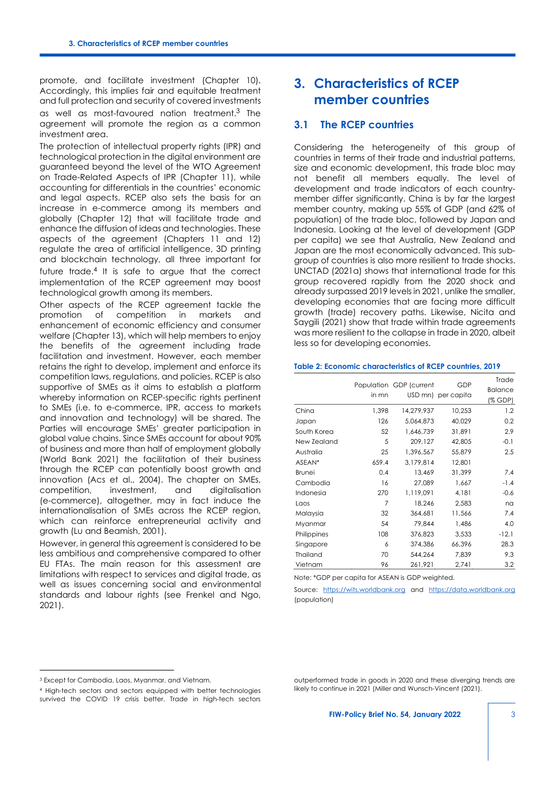promote, and facilitate investment (Chapter 10). Accordingly, this implies fair and equitable treatment and full protection and security of covered investments as well as most-favoured nation treatment.[3](#page-2-0) The agreement will promote the region as a common investment area.

The protection of intellectual property rights (IPR) and technological protection in the digital environment are guaranteed beyond the level of the WTO Agreement on Trade-Related Aspects of IPR (Chapter 11), while accounting for differentials in the countries' economic and legal aspects. RCEP also sets the basis for an increase in e-commerce among its members and globally (Chapter 12) that will facilitate trade and enhance the diffusion of ideas and technologies. These aspects of the agreement (Chapters 11 and 12) regulate the area of artificial intelligence, 3D printing and blockchain technology, all three important for future trade.[4](#page-2-1) It is safe to argue that the correct implementation of the RCEP agreement may boost technological growth among its members.

<span id="page-2-3"></span>Other aspects of the RCEP agreement tackle the<br>promotion of competition in markets and promotion of competition in markets and enhancement of economic efficiency and consumer welfare (Chapter 13), which will help members to enjoy the benefits of the agreement including trade facilitation and investment. However, each member retains the right to develop, implement and enforce its competition laws, regulations, and policies. RCEP is also supportive of SMEs as it aims to establish a platform whereby information on RCEP-specific rights pertinent to SMEs (i.e. to e-commerce, IPR, access to markets and innovation and technology) will be shared. The Parties will encourage SMEs' greater participation in global value chains. Since SMEs account for about 90% of business and more than half of employment globally (World Bank 2021) the facilitation of their business through the RCEP can potentially boost growth and innovation (Acs et al., 2004). The chapter on SMEs, competition, investment, and digitalisation (e-commerce), altogether, may in fact induce the internationalisation of SMEs across the RCEP region, which can reinforce entrepreneurial activity and growth (Lu and Beamish, 2001).

However, in general this agreement is considered to be less ambitious and comprehensive compared to other EU FTAs. The main reason for this assessment are limitations with respect to services and digital trade, as well as issues concerning social and environmental standards and labour rights (see Frenkel and Ngo, 2021).

## **3. Characteristics of RCEP member countries**

### <span id="page-2-2"></span>**3.1 The RCEP countries**

Considering the heterogeneity of this group of countries in terms of their trade and industrial patterns, size and economic development, this trade bloc may not benefit all members equally. The level of development and trade indicators of each countrymember differ significantly. China is by far the largest member country, making up 55% of GDP (and 62% of population) of the trade bloc, followed by Japan and Indonesia. Looking at the level of development (GDP per capita) we see that Australia, New Zealand and Japan are the most economically advanced. This subgroup of countries is also more resilient to trade shocks. UNCTAD (2021a) shows that international trade for this group recovered rapidly from the 2020 shock and already surpassed 2019 levels in 2021, unlike the smaller, developing economies that are facing more difficult growth (trade) recovery paths. Likewise, Nicita and Saygili (2021) show that trade within trade agreements was more resilient to the collapse in trade in 2020, albeit less so for developing economies.

#### **Table 2: Economic characteristics of RCEP countries, 2019**

|             | in mn | Population GDP (current | GDP<br>USD mn) per capita | Trade<br><b>Balance</b><br>(% GDP) |
|-------------|-------|-------------------------|---------------------------|------------------------------------|
| China       | 1,398 | 14,279,937              | 10,253                    | 1.2                                |
| Japan       | 126   | 5,064,873               | 40,029                    | 0.2                                |
| South Korea | 52    | 1,646,739               | 31,891                    | 2.9                                |
| New Zealand | 5     | 209,127                 | 42,805                    | $-0.1$                             |
| Australia   | 25    | 1,396,567               | 55,879                    | 2.5                                |
| ASEAN*      | 659.4 | 3,179,814               | 12,801                    |                                    |
| Brunei      | 0.4   | 13,469                  | 31,399                    | 7.4                                |
| Cambodia    | 16    | 27,089                  | 1,667                     | $-1.4$                             |
| Indonesia   | 270   | 1,119,091               | 4,181                     | $-0.6$                             |
| Laos        | 7     | 18,246                  | 2,583                     | na                                 |
| Malaysia    | 32    | 364,681                 | 11,566                    | 7.4                                |
| Myanmar     | 54    | 79,844                  | 1,486                     | 4.0                                |
| Philippines | 108   | 376,823                 | 3,533                     | $-12.1$                            |
| Singapore   | 6     | 374,386                 | 66,396                    | 28.3                               |
| Thailand    | 70    | 544,264                 | 7,839                     | 9.3                                |
| Vietnam     | 96    | 261,921                 | 2,741                     | 3.2                                |

Note: \*GDP per capita for ASEAN is GDP weighted.

Source: [https://wits.worldbank.org](https://wits.worldbank.org/) and [https://data.worldbank.org](https://data.worldbank.org/) (population)

<span id="page-2-0"></span>[<sup>3</sup>](#page-2-2) Except for Cambodia, Laos, Myanmar, and Vietnam.

<span id="page-2-1"></span>[<sup>4</sup>](#page-2-3) High-tech sectors and sectors equipped with better technologies survived the COVID 19 crisis better. Trade in high-tech sectors

outperformed trade in goods in 2020 and these diverging trends are likely to continue in 2021 (Miller and Wunsch-Vincent (2021).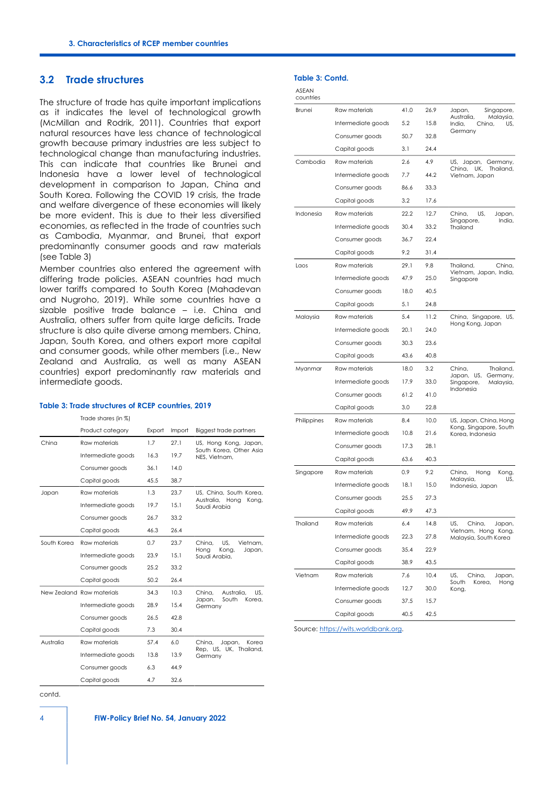## **3.2 Trade structures**

The structure of trade has quite important implications as it indicates the level of technological growth (McMillan and Rodrik, 2011). Countries that export natural resources have less chance of technological growth because primary industries are less subject to technological change than manufacturing industries. This can indicate that countries like Brunei and Indonesia have a lower level of technological development in comparison to Japan, China and South Korea. Following the COVID 19 crisis, the trade and welfare divergence of these economies will likely be more evident. This is due to their less diversified economies, as reflected in the trade of countries such as Cambodia, Myanmar, and Brunei, that export predominantly consumer goods and raw materials (see Table 3)

Member countries also entered the agreement with differing trade policies. ASEAN countries had much lower tariffs compared to South Korea (Mahadevan and Nugroho, 2019). While some countries have a sizable positive trade balance – i.e. China and Australia, others suffer from quite large deficits. Trade structure is also quite diverse among members. China, Japan, South Korea, and others export more capital and consumer goods, while other members (i.e., New Zealand and Australia, as well as many ASEAN countries) export predominantly raw materials and intermediate goods.

#### **Table 3: Trade structures of RCEP countries, 2019**

|             | Trade shares (in %)       |        |        |                                          |
|-------------|---------------------------|--------|--------|------------------------------------------|
|             | Product category          | Export | Import | Biggest trade partners                   |
| China       | Raw materials             | 1.7    | 27.1   | US, Hong Kong, Japan,                    |
|             | Intermediate goods        | 16.3   | 19.7   | South Korea, Other Asia<br>NES, Vietnam, |
|             | Consumer goods            | 36.1   | 14.0   |                                          |
|             | Capital goods             | 45.5   | 38.7   |                                          |
| Japan       | Raw materials             | 1.3    | 23.7   | US, China, South Korea,                  |
|             | Intermediate goods        | 19.7   | 15.1   | Australia, Hong<br>Kong,<br>Saudi Arabia |
|             | Consumer goods            | 26.7   | 33.2   |                                          |
|             | Capital goods             | 46.3   | 26.4   |                                          |
| South Korea | Raw materials             | 0.7    | 23.7   | US.<br>Vietnam.<br>China,                |
|             | Intermediate goods        | 23.9   | 15.1   | Hona<br>Kong,<br>Japan,<br>Saudi Arabia, |
|             | Consumer goods            | 25.2   | 33.2   |                                          |
|             | Capital goods             | 50.2   | 26.4   |                                          |
|             | New 7ealand Raw materials | 34.3   | 10.3   | US.<br>China.<br>Australia.              |
|             | Intermediate goods        | 28.9   | 15.4   | South<br>Korea,<br>Japan,<br>Germany     |
|             | Consumer goods            | 26.5   | 42.8   |                                          |
|             | Capital goods             | 7.3    | 30.4   |                                          |
| Australia   | Raw materials             | 57.4   | 6.0    | Korea<br>China.<br>Japan,                |
|             | Intermediate goods        | 13.8   | 13.9   | Rep, US, UK, Thailand,<br>Germany        |
|             | Consumer goods            | 6.3    | 44.9   |                                          |
|             | Capital goods             | 4.7    | 32.6   |                                          |

### **Table 3: Contd.**

| $\sim$ |  |
|--------|--|
|        |  |

| countries   |                    |      |      |                                                    |
|-------------|--------------------|------|------|----------------------------------------------------|
| Brunei      | Raw materials      | 41.0 | 26.9 | Singapore,<br>Japan,                               |
|             | Intermediate goods | 5.2  | 15.8 | Australia,<br>Malaysia,<br>China,<br>India,<br>US, |
|             | Consumer goods     | 50.7 | 32.8 | Germany                                            |
|             | Capital goods      | 3.1  | 24.4 |                                                    |
| Cambodia    | Raw materials      | 2.6  | 4.9  | US, Japan, Germany,                                |
|             | Intermediate goods | 7.7  | 44.2 | China,<br>UK,<br>Thailand,<br>Vietnam, Japan       |
|             | Consumer goods     | 86.6 | 33.3 |                                                    |
|             | Capital goods      | 3.2  | 17.6 |                                                    |
| Indonesia   | Raw materials      | 22.2 | 12.7 | China.<br>US,<br>Japan,                            |
|             | Intermediate goods | 30.4 | 33.2 | Singapore,<br>India.<br>Thailand                   |
|             | Consumer goods     | 36.7 | 22.4 |                                                    |
|             | Capital goods      | 9.2  | 31.4 |                                                    |
| Laos        | Raw materials      | 29.1 | 9.8  | China,<br>Thailand,                                |
|             | Intermediate goods | 47.9 | 25.0 | Vietnam, Japan, India,<br>Singapore                |
|             | Consumer goods     | 18.0 | 40.5 |                                                    |
|             | Capital goods      | 5.1  | 24.8 |                                                    |
| Malaysia    | Raw materials      | 5.4  | 11.2 | China, Singapore,<br>US,                           |
|             | Intermediate goods | 20.1 | 24.0 | Hong Kong, Japan                                   |
|             | Consumer goods     | 30.3 | 23.6 |                                                    |
|             | Capital goods      | 43.6 | 40.8 |                                                    |
| Myanmar     | Raw materials      | 18.0 | 3.2  | China,<br>Thailand,                                |
|             | Intermediate goods | 17.9 | 33.0 | Japan, US,<br>Germany,<br>Singapore,<br>Malaysia,  |
|             | Consumer goods     | 61.2 | 41.0 | Indonesia                                          |
|             | Capital goods      | 3.0  | 22.8 |                                                    |
| Philippines | Raw materials      | 8.4  | 10.0 | US, Japan, China, Hong                             |
|             | Intermediate goods | 10.8 | 21.6 | Kong, Singapore, South<br>Korea, Indonesia         |
|             | Consumer goods     | 17.3 | 28.1 |                                                    |
|             | Capital goods      | 63.6 | 40.3 |                                                    |
| Singapore   | Raw materials      | 0.9  | 9.2  | China,<br>Hong<br>Kong,                            |
|             | Intermediate goods | 18.1 | 15.0 | Malaysia,<br>US,<br>Indonesia, Japan               |
|             | Consumer goods     | 25.5 | 27.3 |                                                    |
|             | Capital goods      | 49.9 | 47.3 |                                                    |
| Thailand    | Raw materials      | 6.4  | 14.8 | US,<br>China,<br>Japan,                            |
|             | Intermediate goods | 22.3 | 27.8 | Vietnam, Hong Kong,<br>Malaysia, South Korea       |
|             | Consumer goods     | 35.4 | 22.9 |                                                    |
|             | Capital goods      | 38.9 | 43.5 |                                                    |
| Vietnam     | Raw materials      | 7.6  | 10.4 | US,<br>China,<br>Japan,                            |
|             | Intermediate goods | 12.7 | 30.0 | South<br>Korea.<br>Hong<br>Kong,                   |
|             | Consumer goods     | 37.5 | 15.7 |                                                    |
|             | Capital goods      | 40.5 | 42.5 |                                                    |

Source: [https://wits.worldbank.org.](https://wits.worldbank.org/)

contd.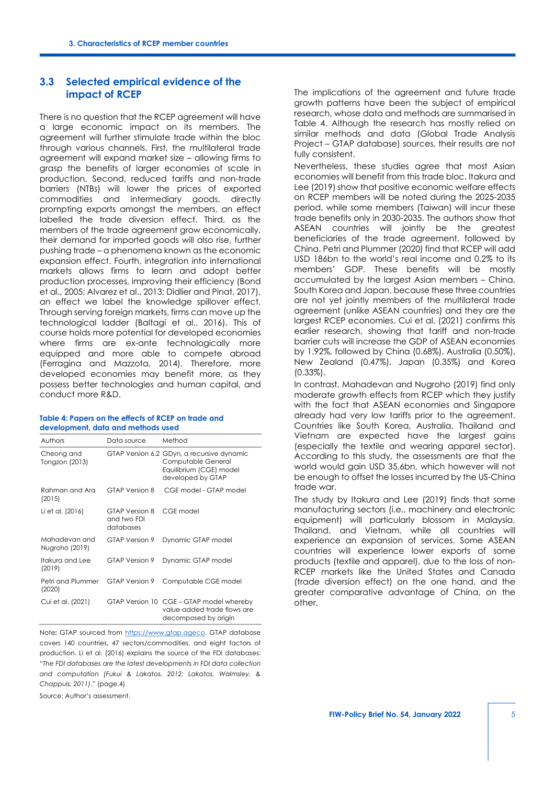### **3.3 Selected empirical evidence of the impact of RCEP**

There is no question that the RCEP agreement will have a large economic impact on its members. The agreement will further stimulate trade within the bloc through various channels. First, the multilateral trade agreement will expand market size – allowing firms to grasp the benefits of larger economies of scale in production. Second, reduced tariffs and non-trade barriers (NTBs) will lower the prices of exported commodities and intermediary goods, directly prompting exports amongst the members, an effect labelled the trade diversion effect. Third, as the members of the trade agreement grow economically, their demand for imported goods will also rise, further pushing trade – a phenomena known as the economic expansion effect. Fourth, integration into international markets allows firms to learn and adopt better production processes, improving their efficiency (Bond et al., 2005; Alvarez et al., 2013; Didlier and Pinat, 2017), an effect we label the knowledge spillover effect. Through serving foreign markets, firms can move up the technological ladder (Baltagi et al., 2016). This of course holds more potential for developed economies where firms are ex-ante technologically more equipped and more able to compete abroad (Ferragina and Mazzota, 2014). Therefore, more developed economies may benefit more, as they possess better technologies and human capital, and conduct more R&D.

#### **Table 4: Papers on the effects of RCEP on trade and development, data and methods used**

| Authors                         | Data source                                | Method                                                                                                           |
|---------------------------------|--------------------------------------------|------------------------------------------------------------------------------------------------------------------|
| Cheong and<br>Tongzon (2013)    |                                            | GTAP Version 6.2 GDyn, a recursive dynamic<br>Computable General<br>Equilibrium (CGE) model<br>developed by GTAP |
| Rahman and Ara<br>(2015)        | GTAP Version 8                             | CGE model - GTAP model                                                                                           |
| Li et al. (2016)                | GTAP Version 8<br>and two FDI<br>databases | CGE model                                                                                                        |
| Mahadevan and<br>Nugroho (2019) | GTAP Version 9                             | Dynamic GTAP model                                                                                               |
| Itakura and Lee<br>(2019)       | GTAP Version 9                             | Dynamic GTAP model                                                                                               |
| Petri and Plummer<br>(2020)     | GTAP Version 9                             | Computable CGE model                                                                                             |
| Cui et al. (2021)               |                                            | GTAP Version 10 CGE - GTAP model whereby<br>value-added trade flows are<br>decomposed by origin                  |

Note**:** GTAP sourced from [https://www.gtap.ageco.](https://www.gtap.ageco/) GTAP database covers 140 countries, 47 sectors/commodities, and eight factors of production. Li et al. (2016) explains the source of the FDI databases: "*The FDI databases are the latest developments in FDI data collection and computation (Fukui & Lakatos, 2012; Lakatos, Walmsley, & Chappuis, 2011)*." (page.4)

Source: Author's assessment.

The implications of the agreement and future trade growth patterns have been the subject of empirical research, whose data and methods are summarised in Table 4. Although the research has mostly relied on similar methods and data (Global Trade Analysis Project – GTAP database) sources, their results are not fully consistent.

Nevertheless, these studies agree that most Asian economies will benefit from this trade bloc. Itakura and Lee (2019) show that positive economic welfare effects on RCEP members will be noted during the 2025-2035 period, while some members (Taiwan) will incur these trade benefits only in 2030-2035. The authors show that ASEAN countries will jointly be the greatest beneficiaries of the trade agreement, followed by China. Petri and Plummer (2020) find that RCEP will add USD 186bn to the world's real income and 0.2% to its members' GDP. These benefits will be mostly accumulated by the largest Asian members – China, South Korea and Japan, because these three countries are not yet jointly members of the multilateral trade agreement (unlike ASEAN countries) and they are the largest RCEP economies. Cui et al. (2021) confirms this earlier research, showing that tariff and non-trade barrier cuts will increase the GDP of ASEAN economies by 1.92%, followed by China (0.68%), Australia (0.50%), New Zealand (0.47%), Japan (0.35%) and Korea (0.33%).

In contrast, Mahadevan and Nugroho (2019) find only moderate growth effects from RCEP which they justify with the fact that ASEAN economies and Singapore already had very low tariffs prior to the agreement. Countries like South Korea, Australia, Thailand and Vietnam are expected have the largest gains (especially the textile and wearing apparel sector). According to this study, the assessments are that the world would gain USD 35.6bn, which however will not be enough to offset the losses incurred by the US-China trade war.

The study by Itakura and Lee (2019) finds that some manufacturing sectors (i.e., machinery and electronic equipment) will particularly blossom in Malaysia, Thailand, and Vietnam, while all countries will experience an expansion of services. Some ASEAN countries will experience lower exports of some products (textile and apparel), due to the loss of non-RCEP markets like the United States and Canada (trade diversion effect) on the one hand, and the greater comparative advantage of China, on the other.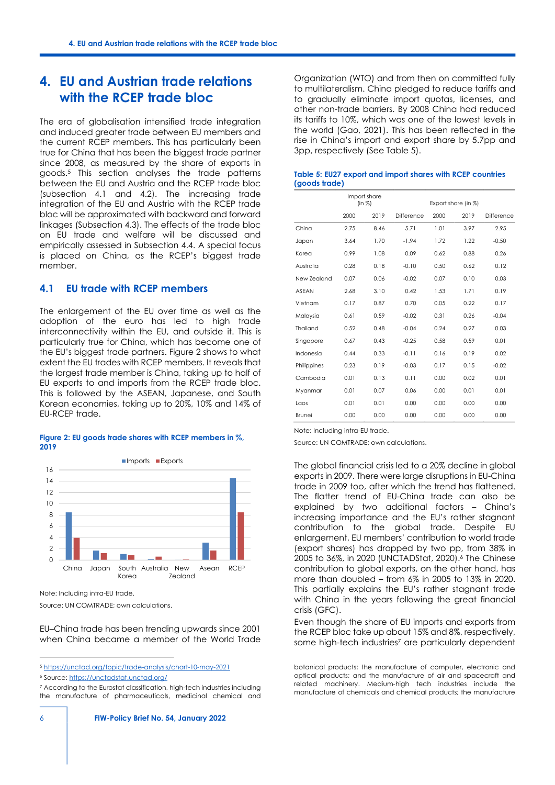## **4. EU and Austrian trade relations with the RCEP trade bloc**

<span id="page-5-3"></span>The era of globalisation intensified trade integration and induced greater trade between EU members and the current RCEP members. This has particularly been true for China that has been the biggest trade partner since 2008, as measured by the share of exports in goods.[5](#page-5-0) This section analyses the trade patterns between the EU and Austria and the RCEP trade bloc (subsection 4.1 and 4.2). The increasing trade integration of the EU and Austria with the RCEP trade bloc will be approximated with backward and forward linkages (Subsection 4.3). The effects of the trade bloc on EU trade and welfare will be discussed and empirically assessed in Subsection 4.4. A special focus is placed on China, as the RCEP's biggest trade member.

### **4.1 EU trade with RCEP members**

The enlargement of the EU over time as well as the adoption of the euro has led to high trade interconnectivity within the EU, and outside it. This is particularly true for China, which has become one of the EU's biggest trade partners. Figure 2 shows to what extent the EU trades with RCEP members. It reveals that the largest trade member is China, taking up to half of EU exports to and imports from the RCEP trade bloc. This is followed by the ASEAN, Japanese, and South Korean economies, taking up to 20%, 10% and 14% of EU-RCEP trade.

#### **Figure 2: EU goods trade shares with RCEP members in %, 2019**



Note: Including intra-EU trade.

Source: UN COMTRADE; own calculations.

EU–China trade has been trending upwards since 2001 when China became a member of the World Trade Organization (WTO) and from then on committed fully to multilateralism. China pledged to reduce tariffs and to gradually eliminate import quotas, licenses, and other non-trade barriers. By 2008 China had reduced its tariffs to 10%, which was one of the lowest levels in the world (Gao, 2021). This has been reflected in the rise in China's import and export share by 5.7pp and 3pp, respectively (See Table 5).

### **Table 5: EU27 export and import shares with RCEP countries (goods trade)**

|               | Import share<br>(in %) |      |            | Export share (in %) |      |            |
|---------------|------------------------|------|------------|---------------------|------|------------|
|               | 2000                   | 2019 | Difference | 2000                | 2019 | Difference |
| China         | 2.75                   | 8.46 | 5.71       | 1.01                | 3.97 | 2.95       |
| Japan         | 3.64                   | 1.70 | $-1.94$    | 1.72                | 1.22 | $-0.50$    |
| Korea         | 0.99                   | 1.08 | 0.09       | 0.62                | 0.88 | 0.26       |
| Australia     | 0.28                   | 0.18 | $-0.10$    | 0.50                | 0.62 | 0.12       |
| New 7ealand   | 0.07                   | 0.06 | $-0.02$    | 0.07                | 0.10 | 0.03       |
| <b>ASEAN</b>  | 2.68                   | 3.10 | 0.42       | 1.53                | 1.71 | 0.19       |
| Vietnam       | 0.17                   | 0.87 | 0.70       | 0.05                | 0.22 | 0.17       |
| Malaysia      | 0.61                   | 0.59 | $-0.02$    | 0.31                | 0.26 | $-0.04$    |
| Thailand      | 0.52                   | 0.48 | $-0.04$    | 0.24                | 0.27 | 0.03       |
| Singapore     | 0.67                   | 0.43 | $-0.25$    | 0.58                | 0.59 | 0.01       |
| Indonesia     | 0.44                   | 0.33 | $-0.11$    | 0.16                | 0.19 | 0.02       |
| Philippines   | 0.23                   | 0.19 | $-0.03$    | 0.17                | 0.15 | $-0.02$    |
| Cambodia      | 0.01                   | 0.13 | 0.11       | 0.00                | 0.02 | 0.01       |
| Myanmar       | 0.01                   | 0.07 | 0.06       | 0.00                | 0.01 | 0.01       |
| Laos          | 0.01                   | 0.01 | 0.00       | 0.00                | 0.00 | 0.00       |
| <b>Brunei</b> | 0.00                   | 0.00 | 0.00       | 0.00                | 0.00 | 0.00       |

Note: Including intra-EU trade.

Source: UN COMTRADE; own calculations.

The global financial crisis led to a 20% decline in global exports in 2009. There were large disruptions in EU-China trade in 2009 too, after which the trend has flattened. The flatter trend of EU-China trade can also be explained by two additional factors – China's increasing importance and the EU's rather stagnant contribution to the global trade. Despite EU enlargement, EU members' contribution to world trade (export shares) has dropped by two pp, from 38% in 2005 to 36%, in 2020 (UNCTADStat, 2020).[6](#page-5-1) The Chinese contribution to global exports, on the other hand, has more than doubled – from 6% in 2005 to 13% in 2020. This partially explains the EU's rather stagnant trade with China in the years following the great financial crisis (GFC).

<span id="page-5-5"></span><span id="page-5-4"></span>Even though the share of EU imports and exports from the RCEP bloc take up about 15% and 8%, respectively, some high-tech industries<sup>[7](#page-5-2)</sup> are particularly dependent

botanical products; the manufacture of computer, electronic and optical products; and the manufacture of air and spacecraft and related machinery. Medium-high tech industries include the manufacture of chemicals and chemical products; the manufacture

<span id="page-5-0"></span>[<sup>5</sup>](#page-5-3) <https://unctad.org/topic/trade-analysis/chart-10-may-2021>

<span id="page-5-1"></span>[<sup>6</sup>](#page-5-4) Source[: https://unctadstat.unctad.org/](https://unctadstat.unctad.org/)

<span id="page-5-2"></span>[<sup>7</sup>](#page-5-5) According to the Eurostat classification, high-tech industries including the manufacture of pharmaceuticals, medicinal chemical and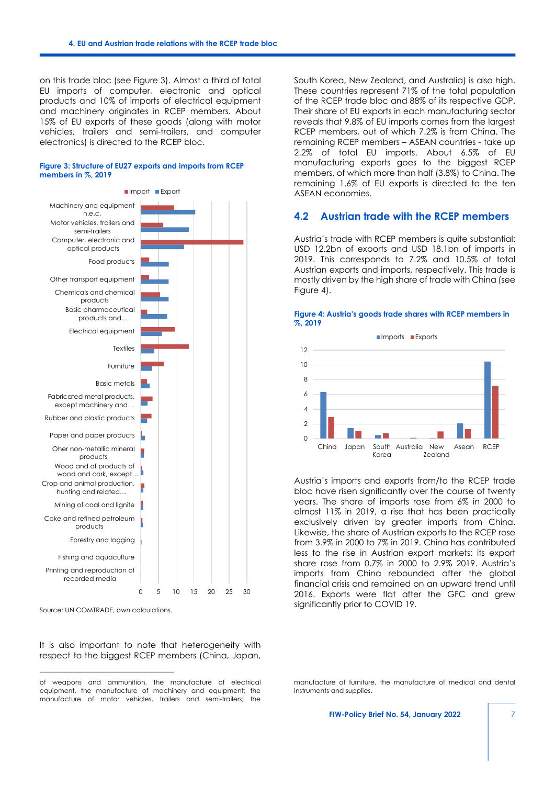on this trade bloc (see Figure 3). Almost a third of total EU imports of computer, electronic and optical products and 10% of imports of electrical equipment and machinery originates in RCEP members. About 15% of EU exports of these goods (along with motor vehicles, trailers and semi-trailers, and computer electronics) is directed to the RCEP bloc.



#### **Figure 3: Structure of EU27 exports and imports from RCEP members in %, 2019**

Source: UN COMTRADE, own calculations.

It is also important to note that heterogeneity with respect to the biggest RCEP members (China, Japan, South Korea, New Zealand, and Australia) is also high. These countries represent 71% of the total population of the RCEP trade bloc and 88% of its respective GDP. Their share of EU exports in each manufacturing sector reveals that 9.8% of EU imports comes from the largest RCEP members, out of which 7.2% is from China. The remaining RCEP members – ASEAN countries - take up 2.2% of total EU imports. About 6.5% of EU manufacturing exports goes to the biggest RCEP members, of which more than half (3.8%) to China. The remaining 1.6% of EU exports is directed to the ten ASEAN economies.

### **4.2 Austrian trade with the RCEP members**

Austria's trade with RCEP members is quite substantial: USD 12.2bn of exports and USD 18.1bn of imports in 2019. This corresponds to 7.2% and 10.5% of total Austrian exports and imports, respectively. This trade is mostly driven by the high share of trade with China (see Figure 4).



#### **Figure 4: Austria's goods trade shares with RCEP members in %, 2019**

Austria's imports and exports from/to the RCEP trade bloc have risen significantly over the course of twenty years. The share of imports rose from 6% in 2000 to almost 11% in 2019, a rise that has been practically exclusively driven by greater imports from China. Likewise, the share of Austrian exports to the RCEP rose from 3.9% in 2000 to 7% in 2019. China has contributed less to the rise in Austrian export markets: its export share rose from 0.7% in 2000 to 2.9% 2019. Austria's imports from China rebounded after the global financial crisis and remained on an upward trend until 2016. Exports were flat after the GFC and grew significantly prior to COVID 19.

of weapons and ammunition, the manufacture of electrical equipment, the manufacture of machinery and equipment; the manufacture of motor vehicles, trailers and semi-trailers; the

manufacture of furniture, the manufacture of medical and dental instruments and supplies.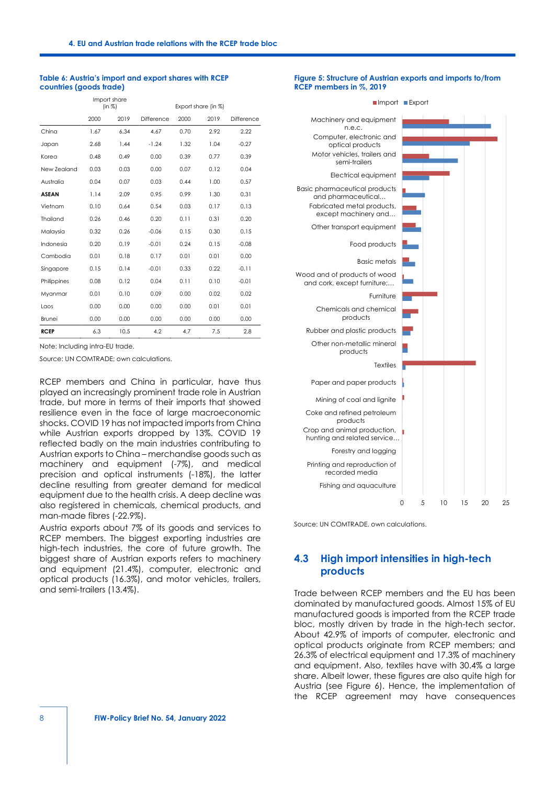#### **Table 6: Austria's import and export shares with RCEP countries (goods trade)**

|              | Import share<br>(in %) |      |            | Export share (in %) |      |            |
|--------------|------------------------|------|------------|---------------------|------|------------|
|              | 2000                   | 2019 | Difference | 2000                | 2019 | Difference |
| China        | 1.67                   | 6.34 | 4.67       | 0.70                | 2.92 | 2.22       |
| Japan        | 2.68                   | 1.44 | $-1.24$    | 1.32                | 1.04 | $-0.27$    |
| Korea        | 0.48                   | 0.49 | 0.00       | 0.39                | 0.77 | 0.39       |
| New Zealand  | 0.03                   | 0.03 | 0.00       | 0.07                | 0.12 | 0.04       |
| Australia    | 0.04                   | 0.07 | 0.03       | 0.44                | 1.00 | 0.57       |
| <b>ASEAN</b> | 1.14                   | 2.09 | 0.95       | 0.99                | 1.30 | 0.31       |
| Vietnam      | 0.10                   | 0.64 | 0.54       | 0.03                | 0.17 | 0.13       |
| Thailand     | 0.26                   | 0.46 | 0.20       | 0.11                | 0.31 | 0.20       |
| Malaysia     | 0.32                   | 0.26 | $-0.06$    | 0.15                | 0.30 | 0.15       |
| Indonesia    | 0.20                   | 0.19 | $-0.01$    | 0.24                | 0.15 | $-0.08$    |
| Cambodia     | 0.01                   | 0.18 | 0.17       | 0.01                | 0.01 | 0.00       |
| Singapore    | 0.15                   | 0.14 | $-0.01$    | 0.33                | 0.22 | $-0.11$    |
| Philippines  | 0.08                   | 0.12 | 0.04       | 0.11                | 0.10 | $-0.01$    |
| Myanmar      | 0.01                   | 0.10 | 0.09       | 0.00                | 0.02 | 0.02       |
| Laos         | 0.00                   | 0.00 | 0.00       | 0.00                | 0.01 | 0.01       |
| Brunei       | 0.00                   | 0.00 | 0.00       | 0.00                | 0.00 | 0.00       |
| <b>RCEP</b>  | 6.3                    | 10.5 | 4.2        | 4.7                 | 7.5  | 2.8        |

Note: Including intra-EU trade.

Source: UN COMTRADE; own calculations.

RCEP members and China in particular, have thus played an increasingly prominent trade role in Austrian trade, but more in terms of their imports that showed resilience even in the face of large macroeconomic shocks. COVID 19 has not impacted imports from China while Austrian exports dropped by 13%. COVID 19 reflected badly on the main industries contributing to Austrian exports to China – merchandise goods such as machinery and equipment (-7%), and medical precision and optical instruments (-18%), the latter decline resulting from greater demand for medical equipment due to the health crisis. A deep decline was also registered in chemicals, chemical products, and man-made fibres (-22.9%).

Austria exports about 7% of its goods and services to RCEP members. The biggest exporting industries are high-tech industries, the core of future growth. The biggest share of Austrian exports refers to machinery and equipment (21.4%), computer, electronic and optical products (16.3%), and motor vehicles, trailers, and semi-trailers (13.4%).

#### **Figure 5: Structure of Austrian exports and imports to/from RCEP members in %, 2019**



Source: UN COMTRADE, own calculations.

## **4.3 High import intensities in high-tech products**

Trade between RCEP members and the EU has been dominated by manufactured goods. Almost 15% of EU manufactured goods is imported from the RCEP trade bloc, mostly driven by trade in the high-tech sector. About 42.9% of imports of computer, electronic and optical products originate from RCEP members; and 26.3% of electrical equipment and 17.3% of machinery and equipment. Also, textiles have with 30.4% a large share. Albeit lower, these figures are also quite high for Austria (see Figure 6). Hence, the implementation of the RCEP agreement may have consequences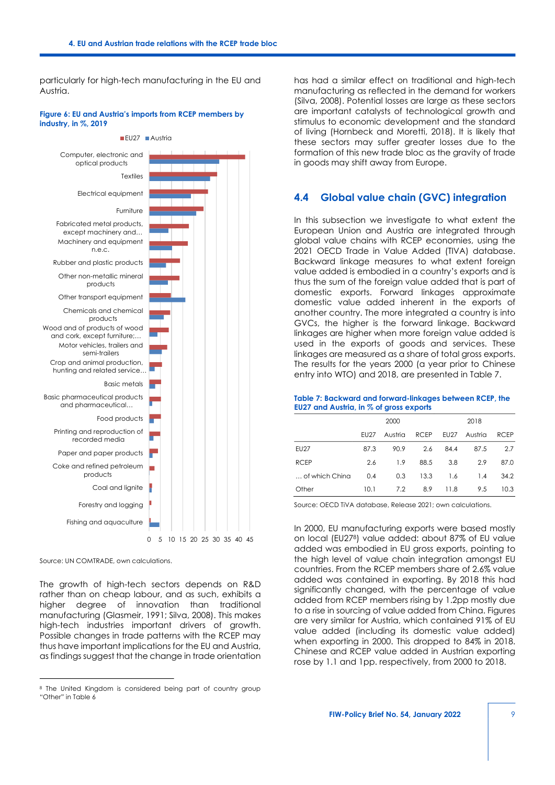particularly for high-tech manufacturing in the EU and Austria.

#### **Figure 6: EU and Austria's imports from RCEP members by industry, in %, 2019**



Source: UN COMTRADE, own calculations.

The growth of high-tech sectors depends on R&D rather than on cheap labour, and as such, exhibits a higher degree of innovation than traditional manufacturing (Glasmeir, 1991; Silva, 2008). This makes high-tech industries important drivers of growth. Possible changes in trade patterns with the RCEP may thus have important implications for the EU and Austria, as findings suggest that the change in trade orientation

has had a similar effect on traditional and high-tech manufacturing as reflected in the demand for workers (Silva, 2008). Potential losses are large as these sectors are important catalysts of technological growth and stimulus to economic development and the standard of living (Hornbeck and Moretti, 2018). It is likely that these sectors may suffer greater losses due to the formation of this new trade bloc as the gravity of trade in goods may shift away from Europe.

### **4.4 Global value chain (GVC) integration**

In this subsection we investigate to what extent the European Union and Austria are integrated through global value chains with RCEP economies, using the 2021 OECD Trade in Value Added (TIVA) database. Backward linkage measures to what extent foreign value added is embodied in a country's exports and is thus the sum of the foreign value added that is part of domestic exports. Forward linkages approximate domestic value added inherent in the exports of another country. The more integrated a country is into GVCs, the higher is the forward linkage. Backward linkages are higher when more foreign value added is used in the exports of goods and services. These linkages are measured as a share of total gross exports. The results for the years 2000 (a year prior to Chinese entry into WTO) and 2018, are presented in Table 7.

#### **Table 7: Backward and forward-linkages between RCEP, the EU27 and Austria, in % of gross exports**

|                |             | 2000    |             | 2018        |         |             |  |
|----------------|-------------|---------|-------------|-------------|---------|-------------|--|
|                | <b>EU27</b> | Austria | <b>RCEP</b> | <b>EU27</b> | Austria | <b>RCEP</b> |  |
| <b>EU27</b>    | 87.3        | 90.9    | 2.6         | 84.4        | 87.5    | 2.7         |  |
| <b>RCEP</b>    | 2.6         | 1.9     | 88.5        | 3.8         | 2.9     | 87.0        |  |
| of which China | 0.4         | 0.3     | 13.3        | 1.6         | 1.4     | 34.2        |  |
| Other          | 10.1        | 7.2     | 8.9         | 11.8        | 9.5     | 10.3        |  |

Source: OECD TiVA database, Release 2021; own calculations.

<span id="page-8-1"></span>In 2000, EU manufacturing exports were based mostly on local (EU27[8](#page-8-0) ) value added: about 87% of EU value added was embodied in EU gross exports, pointing to the high level of value chain integration amongst EU countries. From the RCEP members share of 2.6% value added was contained in exporting. By 2018 this had significantly changed, with the percentage of value added from RCEP members rising by 1.2pp mostly due to a rise in sourcing of value added from China. Figures are very similar for Austria, which contained 91% of EU value added (including its domestic value added) when exporting in 2000. This dropped to 84% in 2018. Chinese and RCEP value added in Austrian exporting rose by 1.1 and 1pp. respectively, from 2000 to 2018.

<span id="page-8-0"></span><sup>&</sup>lt;sup>[8](#page-8-1)</sup> The United Kingdom is considered being part of country group "Other" in Table 6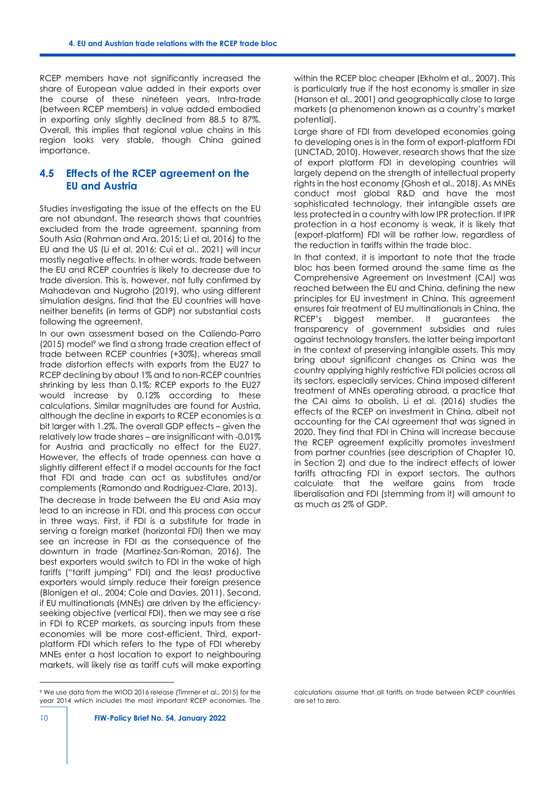RCEP members have not significantly increased the share of European value added in their exports over the course of these nineteen years. Intra-trade (between RCEP members) in value added embodied in exporting only slightly declined from 88.5 to 87%. Overall, this implies that regional value chains in this region looks very stable, though China gained importance.

## **4.5 Effects of the RCEP agreement on the EU and Austria**

Studies investigating the issue of the effects on the EU are not abundant. The research shows that countries excluded from the trade agreement, spanning from South Asia (Rahman and Ara, 2015; Li et al, 2016) to the EU and the US (Li et al, 2016; Cui et al., 2021) will incur mostly negative effects. In other words, trade between the EU and RCEP countries is likely to decrease due to trade diversion. This is, however, not fully confirmed by Mahadevan and Nugroho (2019), who using different simulation designs, find that the EU countries will have neither benefits (in terms of GDP) nor substantial costs following the agreement.

<span id="page-9-1"></span>In our own assessment based on the Caliendo-Parro (2015) model<sup>[9](#page-9-0)</sup> we find a strong trade creation effect of trade between RCEP countries (+30%), whereas small trade distortion effects with exports from the EU27 to RCEP declining by about 1% and to non-RCEP countries shrinking by less than 0.1%; RCEP exports to the EU27 would increase by 0.12% according to these calculations. Similar magnitudes are found for Austria, although the decline in exports to RCEP economies is a bit larger with 1.2%. The overall GDP effects – given the relatively low trade shares – are insignificant with -0.01% for Austria and practically no effect for the EU27. However, the effects of trade openness can have a slightly different effect if a model accounts for the fact that FDI and trade can act as substitutes and/or complements (Ramondo and Rodriguez-Clare, 2013).

The decrease in trade between the EU and Asia may lead to an increase in FDI, and this process can occur in three ways. First, if FDI is a substitute for trade in serving a foreign market (horizontal FDI) then we may see an increase in FDI as the consequence of the downturn in trade (Martinez-San-Roman, 2016). The best exporters would switch to FDI in the wake of high tariffs ("tariff jumping" FDI) and the least productive exporters would simply reduce their foreign presence (Blonigen et al., 2004; Cole and Davies, 2011). Second, if EU multinationals (MNEs) are driven by the efficiencyseeking objective (vertical FDI), then we may see a rise in FDI to RCEP markets, as sourcing inputs from these economies will be more cost-efficient. Third, exportplatform FDI which refers to the type of FDI whereby MNEs enter a host location to export to neighbouring markets, will likely rise as tariff cuts will make exporting

<span id="page-9-0"></span>[9](#page-9-1) We use data from the WIOD 2016 release (Timmer et al., 2015) for the year 2014 which includes the most important RCEP economies. The

within the RCEP bloc cheaper (Ekholm et al., 2007). This is particularly true if the host economy is smaller in size (Hanson et al., 2001) and geographically close to large markets (a phenomenon known as a country's market potential).

Large share of FDI from developed economies going to developing ones is in the form of export-platform FDI (UNCTAD, 2010). However, research shows that the size of export platform FDI in developing countries will largely depend on the strength of intellectual property rights in the host economy (Ghosh et al., 2018). As MNEs conduct most global R&D and have the most sophisticated technology, their intangible assets are less protected in a country with low IPR protection. If IPR protection in a host economy is weak, it is likely that (export-platform) FDI will be rather low, regardless of the reduction in tariffs within the trade bloc.

In that context, it is important to note that the trade bloc has been formed around the same time as the Comprehensive Agreement on Investment (CAI) was reached between the EU and China, defining the new principles for EU investment in China. This agreement ensures fair treatment of EU multinationals in China, the RCEP's biggest member. It guarantees the transparency of government subsidies and rules against technology transfers, the latter being important in the context of preserving intangible assets. This may bring about significant changes as China was the country applying highly restrictive FDI policies across all its sectors, especially services. China imposed different treatment of MNEs operating abroad, a practice that the CAI aims to abolish. Li et al. (2016) studies the effects of the RCEP on investment in China, albeit not accounting for the CAI agreement that was signed in 2020. They find that FDI in China will increase because the RCEP agreement explicitly promotes investment from partner countries (see description of Chapter 10, in Section 2) and due to the indirect effects of lower tariffs attracting FDI in export sectors. The authors calculate that the welfare gains from trade liberalisation and FDI (stemming from it) will amount to as much as 2% of GDP.

calculations assume that all tariffs on trade between RCEP countries are set to zero.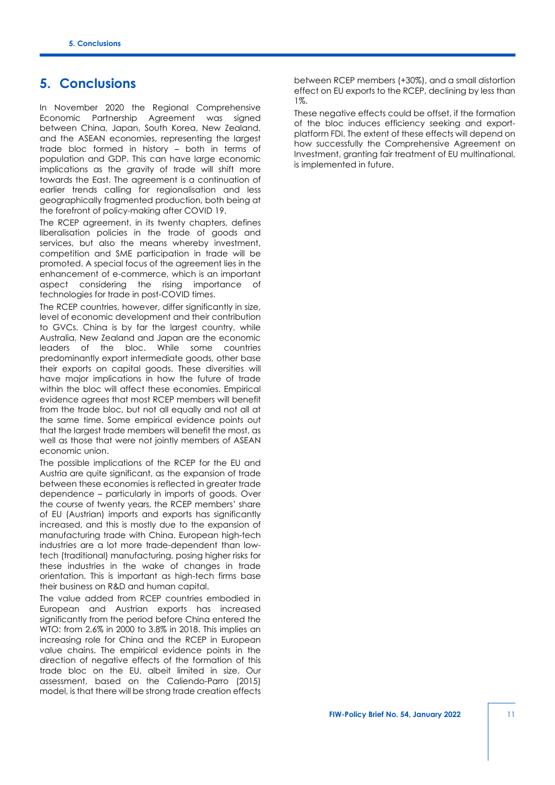## **5. Conclusions**

In November 2020 the Regional Comprehensive Economic Partnership Agreement was signed between China, Japan, South Korea, New Zealand, and the ASEAN economies, representing the largest trade bloc formed in history – both in terms of population and GDP. This can have large economic implications as the gravity of trade will shift more towards the East. The agreement is a continuation of earlier trends calling for regionalisation and less geographically fragmented production, both being at the forefront of policy-making after COVID 19.

The RCEP agreement, in its twenty chapters, defines liberalisation policies in the trade of goods and services, but also the means whereby investment, competition and SME participation in trade will be promoted. A special focus of the agreement lies in the enhancement of e-commerce, which is an important aspect considering the rising importance of technologies for trade in post-COVID times.

The RCEP countries, however, differ significantly in size, level of economic development and their contribution to GVCs. China is by far the largest country, while Australia, New Zealand and Japan are the economic leaders of the bloc. While some countries predominantly export intermediate goods, other base their exports on capital goods. These diversities will have major implications in how the future of trade within the bloc will affect these economies. Empirical evidence agrees that most RCEP members will benefit from the trade bloc, but not all equally and not all at the same time. Some empirical evidence points out that the largest trade members will benefit the most, as well as those that were not jointly members of ASEAN economic union.

The possible implications of the RCEP for the EU and Austria are quite significant, as the expansion of trade between these economies is reflected in greater trade dependence – particularly in imports of goods. Over the course of twenty years, the RCEP members' share of EU (Austrian) imports and exports has significantly increased, and this is mostly due to the expansion of manufacturing trade with China. European high-tech industries are a lot more trade-dependent than lowtech (traditional) manufacturing, posing higher risks for these industries in the wake of changes in trade orientation. This is important as high-tech firms base their business on R&D and human capital.

The value added from RCEP countries embodied in European and Austrian exports has increased significantly from the period before China entered the WTO: from 2.6% in 2000 to 3.8% in 2018. This implies an increasing role for China and the RCEP in European value chains. The empirical evidence points in the direction of negative effects of the formation of this trade bloc on the EU, albeit limited in size. Our assessment, based on the Caliendo-Parro (2015) model, is that there will be strong trade creation effects

between RCEP members (+30%), and a small distortion effect on EU exports to the RCEP, declining by less than 1%.

These negative effects could be offset, if the formation of the bloc induces efficiency seeking and exportplatform FDI. The extent of these effects will depend on how successfully the Comprehensive Agreement on Investment, granting fair treatment of EU multinational, is implemented in future.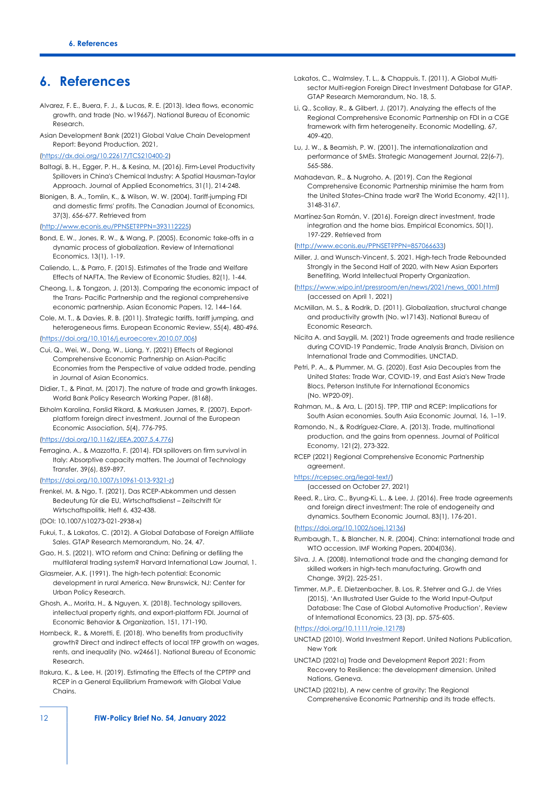## **6. References**

- Alvarez, F. E., Buera, F. J., & Lucas, R. E. (2013). Idea flows, economic growth, and trade (No. w19667). National Bureau of Economic Research.
- Asian Development Bank (2021) Global Value Chain Development Report: Beyond Production, 2021,

#### [\(https://dx.doi.org/10.22617/TCS210400-2\)](https://dx.doi.org/10.22617/TCS210400-2)

- Baltagi, B. H., Egger, P. H., & Kesina, M. (2016). Firm‐Level Productivity Spillovers in China's Chemical Industry: A Spatial Hausman‐Taylor Approach. Journal of Applied Econometrics, 31(1), 214-248.
- Blonigen, B. A., Tomlin, K., & Wilson, W. W. (2004). Tariff-jumping FDI and domestic firms' profits. The Canadian Journal of Economics, 37(3), 656-677. Retrieved from
- [\(http://www.econis.eu/PPNSET?PPN=393112225\)](http://www.econis.eu/PPNSET?PPN=393112225)
- Bond, E. W., Jones, R. W., & Wang, P. (2005). Economic take-offs in a dynamic process of globalization. Review of International Economics, 13(1), 1-19.
- Caliendo, L., & Parro, F. (2015). Estimates of the Trade and Welfare Effects of NAFTA. The Review of Economic Studies, 82(1), 1-44.
- Cheong, I., & Tongzon, J. (2013). Comparing the economic impact of the Trans‐ Pacific Partnership and the regional comprehensive economic partnership. Asian Economic Papers, 12, 144–164.
- Cole, M. T., & Davies, R. B. (2011). Strategic tariffs, tariff jumping, and heterogeneous firms. European Economic Review, 55(4), 480-496.

#### [\(https://doi.org/10.1016/j.euroecorev.2010.07.006\)](https://doi.org/10.1016/j.euroecorev.2010.07.006)

- Cui, Q., Wei, W., Dong, W., Liang, Y. (2021) Effects of Regional Comprehensive Economic Partnership on Asian-Pacific Economies from the Perspective of value added trade, pending in Journal of Asian Economics.
- Didier, T., & Pinat, M. (2017). The nature of trade and growth linkages. World Bank Policy Research Working Paper, (8168).
- Ekholm Karolina, Forslid Rikard, & Markusen James, R. (2007). Exportplatform foreign direct investment. Journal of the European Economic Association, 5(4), 776-795.

#### [\(https://doi.org/10.1162/JEEA.2007.5.4.776\)](https://doi.org/10.1162/JEEA.2007.5.4.776)

Ferragina, A., & Mazzotta, F. (2014). FDI spillovers on firm survival in Italy: Absorptive capacity matters. The Journal of Technology Transfer, 39(6), 859-897.

#### [\(https://doi.org/10.1007/s10961-013-9321-z\)](https://doi.org/10.1007/s10961-013-9321-z)

- Frenkel, M. & Ngo, T. (2021), Das RCEP-Abkommen und dessen Bedeutung für die EU, Wirtschaftsdienst – Zeitschrift für Wirtschaftspolitik, Heft 6, 432-438.
- (DOI: 10.1007/s10273-021-2938-x)
- Fukui, T., & Lakatos, C. (2012). A Global Database of Foreign Affiliate Sales. GTAP Research Memorandum, No. 24, 47.
- Gao, H. S. (2021). WTO reform and China: Defining or defiling the multilateral trading system? Harvard International Law Journal, 1.
- Glasmeier, A.K. (1991). The high-tech potential: Economic development in rural America. New Brunswick, NJ: Center for Urban Policy Research.
- Ghosh, A., Morita, H., & Nguyen, X. (2018). Technology spillovers, intellectual property rights, and export-platform FDI. Journal of Economic Behavior & Organization, 151, 171-190.
- Hornbeck, R., & Moretti, E. (2018). Who benefits from productivity growth? Direct and indirect effects of local TFP growth on wages, rents, and inequality (No. w24661). National Bureau of Economic Research.
- Itakura, K., & Lee, H. (2019). Estimating the Effects of the CPTPP and RCEP in a General Equilibrium Framework with Global Value Chains.
- Lakatos, C., Walmsley, T. L., & Chappuis, T. (2011). A Global Multisector Multi-region Foreign Direct Investment Database for GTAP. GTAP Research Memorandum, No. 18, 5.
- Li, Q., Scollay, R., & Gilbert, J. (2017). Analyzing the effects of the Regional Comprehensive Economic Partnership on FDI in a CGE framework with firm heterogeneity. Economic Modelling, 67, 409-420.
- Lu, J. W., & Beamish, P. W. (2001). The internationalization and performance of SMEs. Strategic Management Journal, 22(6‐7), 565-586.
- Mahadevan, R., & Nugroho, A. (2019). Can the Regional Comprehensive Economic Partnership minimise the harm from the United States–China trade war? The World Economy, 42(11), 3148-3167.
- Martínez-San Román, V. (2016). Foreign direct investment, trade integration and the home bias. Empirical Economics, 50(1), 197-229. Retrieved from

#### [\(http://www.econis.eu/PPNSET?PPN=857066633\)](http://www.econis.eu/PPNSET?PPN=857066633)

Miller, J. and Wunsch-Vincent, S. 2021. High-tech Trade Rebounded Strongly in the Second Half of 2020, with New Asian Exporters Benefiting, World Intellectual Property Organization.

#### [\(https://www.wipo.int/pressroom/en/news/2021/news\\_0001.html\)](https://www.wipo.int/pressroom/en/news/2021/news_0001.html) (accessed on April 1, 2021)

- McMillan, M. S., & Rodrik, D. (2011). Globalization, structural change and productivity growth (No. w17143). National Bureau of Economic Research.
- Nicita A. and Saygili, M. (2021) Trade agreements and trade resilience during COVID-19 Pandemic, Trade Analysis Branch, Division on International Trade and Commodities, UNCTAD.
- Petri, P. A., & Plummer, M. G. (2020). East Asia Decouples from the United States: Trade War, COVID-19, and East Asia's New Trade Blocs, Peterson Institute For International Economics (No. WP20-09).
- Rahman, M., & Ara, L. (2015). TPP, TTIP and RCEP: Implications for South Asian economies. South Asia Economic Journal, 16, 1–19.
- Ramondo, N., & Rodríguez-Clare, A. (2013). Trade, multinational production, and the gains from openness. Journal of Political Economy, 121(2), 273-322.
- RCEP (2021) Regional Comprehensive Economic Partnership agreement.

#### [https://rcepsec.org/legal-text/\)](https://rcepsec.org/legal-text/)

(accessed on October 27, 2021)

Reed, R., Lira, C., Byung-Ki, L., & Lee, J. (2016). Free trade agreements and foreign direct investment: The role of endogeneity and dynamics. Southern Economic Journal, 83(1), 176-201.

#### [\(https://doi.org/10.1002/soej.12136\)](https://doi.org/10.1002/soej.12136)

- Rumbaugh, T., & Blancher, N. R. (2004). China: international trade and WTO accession. IMF Working Papers, 2004(036).
- Silva, J. A. (2008). International trade and the changing demand for skilled workers in high‐tech manufacturing. Growth and Change, 39(2), 225-251.
- Timmer, M.P., E. Dietzenbacher, B. Los, R. Stehrer and G.J. de Vries (2015), 'An Illustrated User Guide to the World Input-Output Database: The Case of Global Automotive Production', Review of International Economics, 23 (3), pp. 575-605.

#### [\(https://doi.org/10.1111/roie.12178\)](https://doi.org/10.1111/roie.12178)

- UNCTAD (2010). World Investment Report. United Nations Publication, New York
- UNCTAD (2021a) Trade and Development Report 2021: From Recovery to Resilience: the development dimension. United Nations, Geneva.
- UNCTAD (2021b), A new centre of gravity: The Regional Comprehensive Economic Partnership and its trade effects.